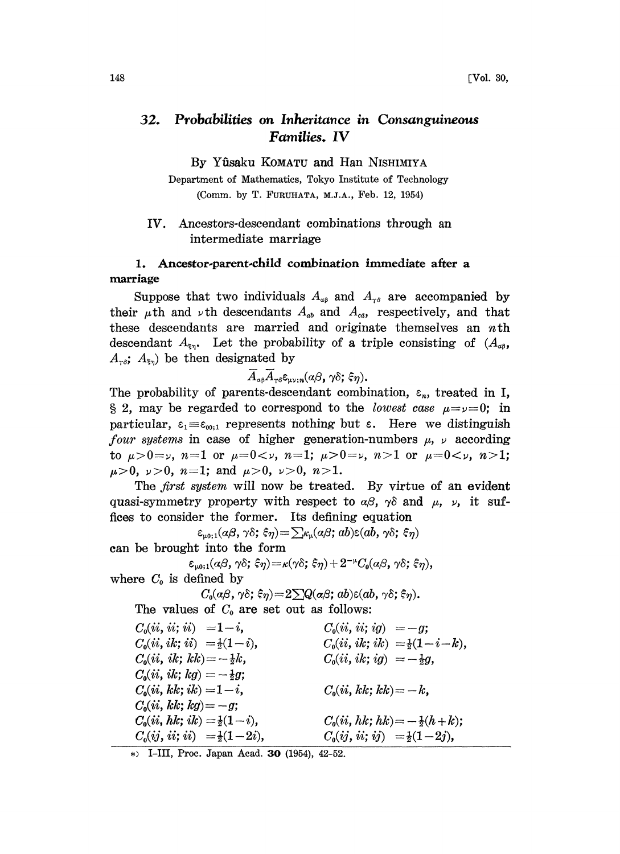# 32. Probabilities on Inheritance in Consanguineous Families. IV

By Yûsaku KOMATU and Han NISHIMIYA

Department of Mathematics, Tokyo Institute of Technology (Comm. by T. FURUHATA, M.J.A., Feb. 12, 1954)

#### IV. Ancestors-descendant combinations through an intermediate marriage

### 1. Ancestor-parent-child combination immediate after a marriage

Suppose that two individuals  $A_{\alpha\beta}$  and  $A_{\gamma\delta}$  are accompanied by their  $\mu$ th and  $\nu$ th descendants  $A_{ab}$  and  $A_{cd}$ , respectively, and that these descendants are married and originate themselves an  $n$ th descendant  $A_{\epsilon_n}$ . Let the probability of a triple consisting of  $(A_{\alpha\beta}, A_{\beta\beta})$  $A_{\tau\delta}$ ;  $A_{\xi\eta}$  be then designated by

 $\overline{A}_{\alpha\beta}\overline{A}_{\gamma\delta}\varepsilon_{\mu\nu;\,n}(\alpha\beta,\,\gamma\delta;\,\xi\eta).$ 

The probability of parents-descendant combination,  $\varepsilon_n$ , treated in I, § 2, may be regarded to correspond to the *lowest case*  $\mu = \nu = 0$ ; in particular,  $\varepsilon_1 = \varepsilon_{00;1}$  represents nothing but  $\varepsilon$ . Here we distinguish *four systems* in case of higher generation-numbers  $\mu$ ,  $\nu$  according to  $\mu > 0 = \nu$ ,  $n = 1$  or  $\mu = 0 < \nu$ ,  $n = 1$ ;  $\mu > 0 = \nu$ ,  $n > 1$  or  $\mu = 0 < \nu$ ,  $n > 1$ ;  $\mu>0, \nu>0, n=1$ ; and  $\mu>0, \nu>0, n>1$ .

The *first system* will now be treated. By virtue of an evident quasi-symmetry property with respect to  $\alpha\beta$ ,  $\gamma\delta$  and  $\mu$ ,  $\nu$ , it suffices to consider the former. Its defining equation

 $\varepsilon_{\mu_0;1}(a\beta,\gamma\delta;\xi\eta) = \sum_{\kappa_{\mu}}(a\beta;ab)\varepsilon(ab,\gamma\delta;\xi\eta)$ can be brought into the form

$$
\varepsilon_{\text{\tiny \mu 0};1}(\alpha\beta,\,\gamma\delta;\,\hat{\varepsilon}\eta)\!=\!\kappa(\gamma\delta;\,\hat{\varepsilon}\eta)+2^{-\text{\tiny \mu}}C_0(\alpha\beta,\,\gamma\delta;\,\hat{\varepsilon}\eta),
$$

where  $C_0$  is defined by

$$
C_0(\alpha\beta,\gamma\delta;\,\xi\eta)\!=\!2\sum Q(\alpha\beta;\,ab)\varepsilon(ab,\,\gamma\delta;\,\xi\eta).
$$

The values of  $C_0$  are set out as follows:

 $C_0(ii, ii; ii) =1-i,$  $C_0(ii, ik; ii) = \frac{1}{2}(1-i),$  $C_0(ii, ik; kk) = -\frac{1}{2}k,$  $C_0(ii, ik; kg) = -\frac{1}{2}g;$  $C_0(ii, kk; ik) = 1-i,$  $C_0(ii, kk; kg) = -g;$  $C_0(ii, hk; ik) = \frac{1}{2}(1 - i),$  $C_0(ij, ii; ii) = \frac{1}{2}(1-2i),$  $C_0(ii, ii; ig) = -g;$  $C_0(ii, ik; ik) = \frac{1}{2}(1-i-k),$  $C_0(ii, ik; ig) = -\frac{1}{2}g,$  $C_0(ii, kk; kk) = -k,$  $C_0(ii, hk; hk) = -\frac{1}{2}(h + k);$  $C_0(ij, ii; ij) = \frac{1}{2}(1-2j),$ 

I-III, Proc. Japan Acad. 30 (1954), 42-52.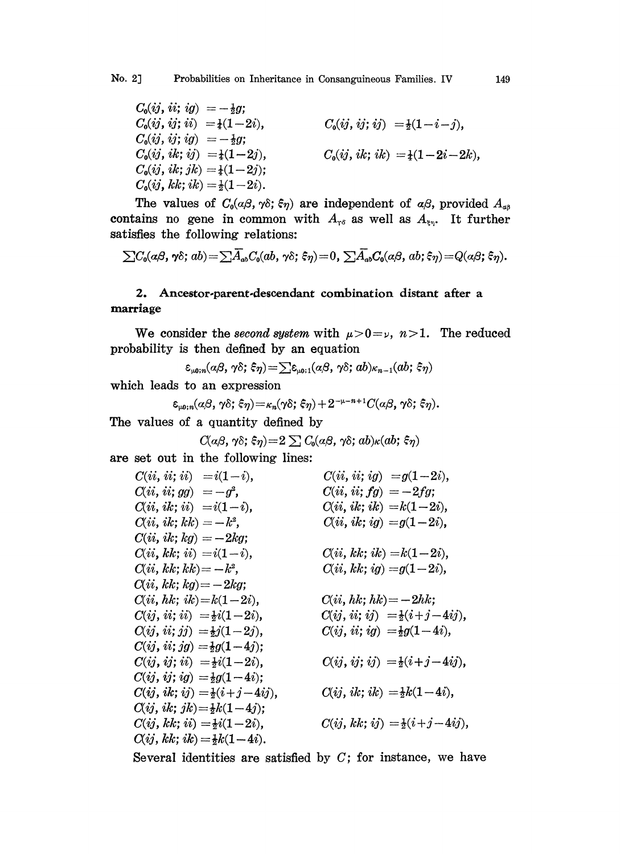$$
C_0(ij, ii; ig) = -\frac{1}{2}g; C_0(ij, ii; ii) = \frac{1}{4}(1-2i), C_0(ij, ii; ig) = -\frac{1}{2}g; C_0(ij, ik; ij) = \frac{1}{4}(1-2j), C_0(ij, ik; ik) = \frac{1}{4}(1-2j); C_0(ij, kk; ik) = \frac{1}{2}(1-2i).
$$
\n
$$
C_0(ij, kk; ik) = \frac{1}{2}(1-2i).
$$

The values of  $C_0(\alpha\beta, \gamma\delta; \xi\eta)$  are independent of  $\alpha\beta$ , provided  $A_{\alpha\beta}$ contains no gene in common with  $A_{r\delta}$  as well as  $A_{\xi\eta}$ . It further satisfies the following relations:

$$
\sum C_0(a\beta,\gamma\delta;ab)=\sum \overline{A}_{ab}C_0(ab,\gamma\delta;\xi\eta)=0,\ \sum \overline{A}_{ab}C_0(a\beta,ab;\xi\eta)=Q(a\beta;\xi\eta).
$$

## 2. Ancestor-parent-descendant combination distant after a marriage

We consider the second system with  $\mu > 0 = \nu$ ,  $n > 1$ . The reduced probability is then defined by an equation

$$
\varepsilon_{\scriptscriptstyle\mu 0; n} (a \beta, \gamma \delta; \, \hat{\varsigma} \eta) \! = \! \sum \! \varepsilon_{\scriptscriptstyle\mu 0; 1} \! \left( a \beta, \, \gamma \delta; \, a b \right) \! \mathit{\kappa}_{n-1} \! \left( a b; \, \hat{\varsigma} \eta \right)
$$

which leads to an expression

$$
\varepsilon_{\mu 0; n}(\alpha \beta, \gamma \delta; \xi \eta) = \kappa_n(\gamma \delta; \xi \eta) + 2^{-\mu - n + 1} C(\alpha \beta, \gamma \delta; \xi \eta).
$$

The values of a quantity defined by

$$
C(\alpha\beta,\gamma\delta;\xi\eta)\!=\!2\sum C_0(\alpha\beta,\gamma\delta;db)\kappa(ab;\xi\eta)
$$

are set out in the following lines:

$$
C(ii, ii; ii) = i(1-i),
$$
  
\n
$$
C(ii, ii; gg) = -g^{2},
$$
  
\n
$$
C(ii, ii; gg) = -g^{2},
$$
  
\n
$$
C(ii, ii; fg) = -2fg;
$$
  
\n
$$
C(ii, ik; iii) = i(1-i),
$$
  
\n
$$
C(ii, ik; kk) = -k^{2},
$$
  
\n
$$
C(ii, ik; kg) = -2kg;
$$
  
\n
$$
C(ii, kk; ii) = i(1-i),
$$
  
\n
$$
C(ii, kk; ii) = i(1-i),
$$
  
\n
$$
C(ii, kk; ib) = -2kj;
$$
  
\n
$$
C(ii, kk; ib) = -2kj;
$$
  
\n
$$
C(ii, kk; kb) = -k^{2},
$$
  
\n
$$
C(ii, kk; ib) = -2kj;
$$
  
\n
$$
C(ii, kk; ib) = -2kg;
$$
  
\n
$$
C(ii, kk; ib) = \frac{1}{2}i(1-2i),
$$
  
\n
$$
C(i, kk; ib) = -2hk;
$$
  
\n
$$
C(ij, ii; jj) = \frac{1}{2}j(1-2j),
$$
  
\n
$$
C(ij, ii; jj) = \frac{1}{2}g(1-4j);
$$
  
\n
$$
C(ij, ii; ig) = \frac{1}{2}g(1-4i),
$$
  
\n
$$
C(ij, ii; ig) = \frac{1}{2}g(1-4i),
$$
  
\n
$$
C(ij, ii; ij) = \frac{1}{2}(i+j-4ij),
$$
  
\n
$$
C(ij, ik; ij) = \frac{1}{2}(i+j-4ij),
$$
  
\n
$$
C(ij, ik; ib) = \frac{1}{2}k(1-4i),
$$
  
\n
$$
C(ij, kk; ib) = \frac{1}{2}k(1-4j);
$$
  
\n
$$
C(ij, kk; ib) = \frac{1}{2}k(1-4i),
$$
  
\n
$$
C(ij, kk; ib) = \frac{1}{2}k(1-4i),
$$
  
\n
$$
C(ij, kk; ib) = \frac{1
$$

Several identities are satisfied by  $C$ ; for instance, we have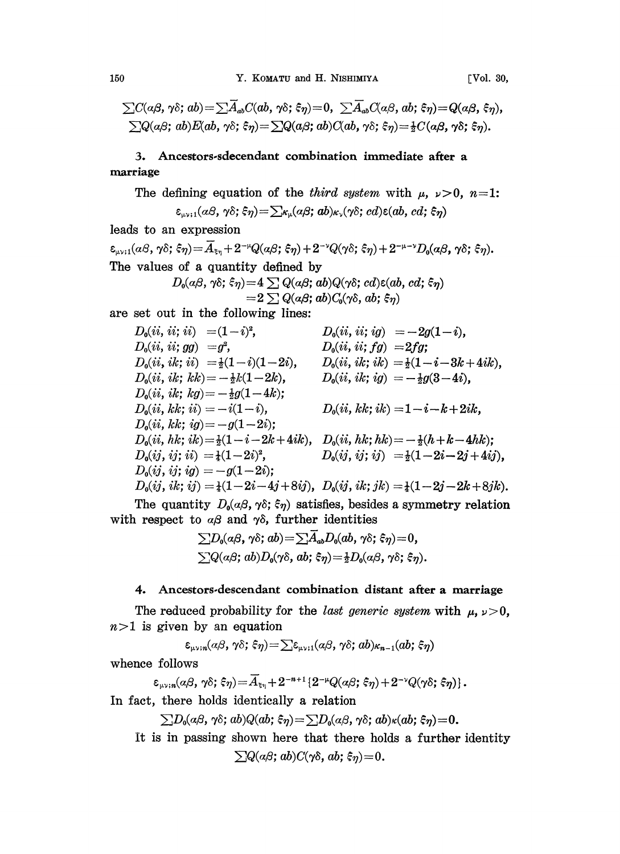$\sum C(\alpha\beta, \gamma\delta; ab) = \sum \overline{A}_{ab}C(ab, \gamma\delta; \xi\eta) = 0, \sum \overline{A}_{ab}C(\alpha\beta, ab; \xi\eta) = Q(\alpha\beta, \xi\eta),$  $\sum Q(a\beta; ab)E(ab, \gamma\delta; \xi\eta) = \sum Q(a\beta; ab)C(ab, \gamma\delta; \xi\eta) = \frac{1}{2}C(a\beta, \gamma\delta; \xi\eta).$ 

## 3. Ancestors.sdecendant combination immediate after a marriage

The defining equation of the *third system* with  $\mu$ ,  $\nu > 0$ ,  $n=1$ :

$$
\varepsilon_{\mu\nu;1}(a\beta,\gamma\delta;\xi\eta) = \sum_{\kappa_{\mu}}(a\beta;ab)_{\kappa_{\nu}}(\gamma\delta;cd)\varepsilon(ab,cd;\xi\eta)
$$

leads to an expression

 $\label{eq:4.1} \varepsilon_{\mu\nu;1}(\alpha\beta,\,\gamma\delta;\,\xi\eta)\!=\!\overline{A}_{\xi\eta}+2^{-\mu}Q(\alpha\beta;\,\xi\eta)+2^{-\nu}Q(\gamma\delta;\,\xi\eta)+2^{-\mu-\nu}D_0(\alpha\beta,\,\gamma\delta;\,\xi\eta).$ The values of a quantity defined by  $D_0(\alpha\beta, \gamma\delta; \hat{\epsilon}\eta) = 4 \sum Q(\alpha\beta; ab)Q(\gamma\delta; cd) \epsilon(ab, cd;$ 

$$
D_0(a\beta,\gamma\delta;\xi\eta) = 4 \sum Q(a\beta;ab)Q(\gamma\delta;cd)\epsilon(ab,cd;\xi\eta) = 2 \sum Q(a\beta;ab)C_0(\gamma\delta,ab;\xi\eta)
$$

are set out in the following lines:

$$
D_0(ii, ii; ii) = (1 - i)^2, \t D_0(ii, ii; ig) = -2g(1 - i),
$$
  
\n
$$
D_0(ii, ii; gg) = g^2, \t D_0(ii, ii; fg) = 2fg;
$$
  
\n
$$
D_0(ii, ik; ii) = \frac{1}{2}(1 - i)(1 - 2i), \t D_0(ii, ik; ik) = \frac{1}{2}(1 - i - 3k + 4ik),
$$
  
\n
$$
D_0(ii, ik; kk) = -\frac{1}{2}k(1 - 2k), \t D_0(ii, ik; ig) = -\frac{1}{2}g(3 - 4i),
$$
  
\n
$$
D_0(ii, kk; ii) = -i(1 - i), \t D_0(ii, kk; ik) = 1 - i - k + 2ik,
$$
  
\n
$$
D_0(ii, kk; i) = -g(1 - 2i); \t D_0(ii, kk; ik) = -\frac{1}{2}(h + k - 4hk);
$$
  
\n
$$
D_0(ii, ik; i) = \frac{1}{2}(1 - i - 2k + 4ik), \t D_0(ii, hk; hk) = -\frac{1}{2}(h + k - 4hk);
$$
  
\n
$$
D_0(ij, ij; ii) = \frac{1}{4}(1 - 2i)^2, \t D_0(ij, ij; ij) = \frac{1}{2}(1 - 2i - 2j + 4ij),
$$
  
\n
$$
D_0(ij, ii; ij) = -g(1 - 2i); \t D_0(ij, ii; j) = \frac{1}{4}(1 - 2j - 2k + 8jk).
$$

The quantity  $D_0(a\beta, \gamma\delta; \xi\eta)$  satisfies, besides a symmetry relation with respect to  $\alpha\beta$  and  $\gamma\delta$ , further identities

$$
\sum D_0(a\beta,\gamma\delta;ab) = \sum \overline{A}_{ab}D_0(ab,\gamma\delta;\xi\eta) = 0,
$$
  

$$
\sum Q(a\beta;ab)D_0(\gamma\delta,ab;\xi\eta) = \frac{1}{2}D_0(a\beta,\gamma\delta;\xi\eta).
$$

#### 4. Ancestors-descendant combination distant after a marriage

The reduced probability for the *last generic system* with  $\mu$ ,  $\nu > 0$ ,  $n>1$  is given by an equation

 $\varepsilon_{\mu\nu;\,n}(a\beta,\,\gamma\delta;\,\xi\eta) = \sum \varepsilon_{\mu\nu;\,1}(a\beta,\,\gamma\delta;\,ab) \kappa_{n-1}(ab;\,\xi\eta)$ 

whence follows

$$
\varepsilon_{\mu\nu;\,n}(\alpha\beta,\,\gamma\delta;\,\xi\eta)\!=\!\overline{A}_{\xi\eta}+2^{-n+1}\left\{2^{-\mu}Q(\alpha\beta;\,\xi\eta)+2^{-\nu}Q(\gamma\delta;\,\xi\eta)\right\}.
$$

In fact, there holds identically a relation

 $\sum D_0(\alpha\beta, \gamma\delta; ab)Q(ab; \xi\eta) = \sum D_0(\alpha\beta, \gamma\delta; ab)\kappa(ab; \xi\eta) = 0.$ 

It is in passing shown here that there holds a further identity  $\sum Q(a\beta; ab)C(\gamma\delta, ab; \xi\eta) = 0.$